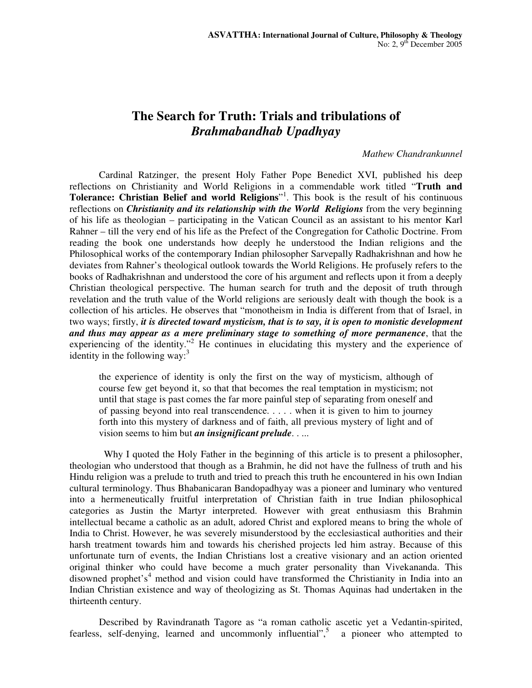# **The Search for Truth: Trials and tribulations of**  *Brahmabandhab Upadhyay*

## *Mathew Chandrankunnel*

Cardinal Ratzinger, the present Holy Father Pope Benedict XVI, published his deep reflections on Christianity and World Religions in a commendable work titled "**Truth and Tolerance: Christian Belief and world Religions**" 1 . This book is the result of his continuous reflections on *Christianity and its relationship with the World Religions* from the very beginning of his life as theologian – participating in the Vatican Council as an assistant to his mentor Karl Rahner – till the very end of his life as the Prefect of the Congregation for Catholic Doctrine. From reading the book one understands how deeply he understood the Indian religions and the Philosophical works of the contemporary Indian philosopher Sarvepally Radhakrishnan and how he deviates from Rahner's theological outlook towards the World Religions. He profusely refers to the books of Radhakrishnan and understood the core of his argument and reflects upon it from a deeply Christian theological perspective. The human search for truth and the deposit of truth through revelation and the truth value of the World religions are seriously dealt with though the book is a collection of his articles. He observes that "monotheism in India is different from that of Israel, in two ways; firstly, *it is directed toward mysticism, that is to say, it is open to monistic development and thus may appear as a mere preliminary stage to something of more permanence*, that the experiencing of the identity."<sup>2</sup> He continues in elucidating this mystery and the experience of identity in the following way:<sup>3</sup>

the experience of identity is only the first on the way of mysticism, although of course few get beyond it, so that that becomes the real temptation in mysticism; not until that stage is past comes the far more painful step of separating from oneself and of passing beyond into real transcendence. . . . . when it is given to him to journey forth into this mystery of darkness and of faith, all previous mystery of light and of vision seems to him but *an insignificant prelude*. . ...

Why I quoted the Holy Father in the beginning of this article is to present a philosopher, theologian who understood that though as a Brahmin, he did not have the fullness of truth and his Hindu religion was a prelude to truth and tried to preach this truth he encountered in his own Indian cultural terminology. Thus Bhabanicaran Bandopadhyay was a pioneer and luminary who ventured into a hermeneutically fruitful interpretation of Christian faith in true Indian philosophical categories as Justin the Martyr interpreted. However with great enthusiasm this Brahmin intellectual became a catholic as an adult, adored Christ and explored means to bring the whole of India to Christ. However, he was severely misunderstood by the ecclesiastical authorities and their harsh treatment towards him and towards his cherished projects led him astray. Because of this unfortunate turn of events, the Indian Christians lost a creative visionary and an action oriented original thinker who could have become a much grater personality than Vivekananda. This disowned prophet's <sup>4</sup> method and vision could have transformed the Christianity in India into an Indian Christian existence and way of theologizing as St. Thomas Aquinas had undertaken in the thirteenth century.

Described by Ravindranath Tagore as "a roman catholic ascetic yet a Vedantin-spirited, fearless, self-denying, learned and uncommonly influential",<sup>5</sup> a pioneer who attempted to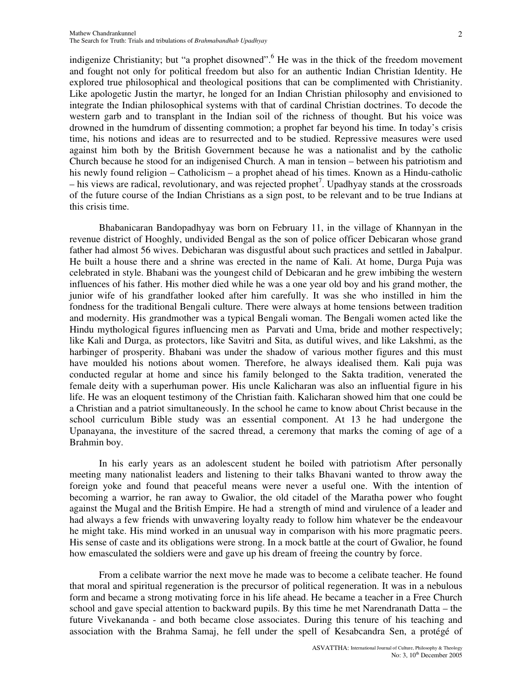indigenize Christianity; but "a prophet disowned". He was in the thick of the freedom movement and fought not only for political freedom but also for an authentic Indian Christian Identity. He explored true philosophical and theological positions that can be complimented with Christianity. Like apologetic Justin the martyr, he longed for an Indian Christian philosophy and envisioned to integrate the Indian philosophical systems with that of cardinal Christian doctrines. To decode the western garb and to transplant in the Indian soil of the richness of thought. But his voice was drowned in the humdrum of dissenting commotion; a prophet far beyond his time. In today's crisis time, his notions and ideas are to resurrected and to be studied. Repressive measures were used against him both by the British Government because he was a nationalist and by the catholic Church because he stood for an indigenised Church. A man in tension – between his patriotism and his newly found religion – Catholicism – a prophet ahead of his times. Known as a Hindu-catholic – his views are radical, revolutionary, and was rejected prophet<sup>7</sup>. Upadhyay stands at the crossroads of the future course of the Indian Christians as a sign post, to be relevant and to be true Indians at this crisis time.

Bhabanicaran Bandopadhyay was born on February 11, in the village of Khannyan in the revenue district of Hooghly, undivided Bengal as the son of police officer Debicaran whose grand father had almost 56 wives. Debicharan was disgustful about such practices and settled in Jabalpur. He built a house there and a shrine was erected in the name of Kali. At home, Durga Puja was celebrated in style. Bhabani was the youngest child of Debicaran and he grew imbibing the western influences of his father. His mother died while he was a one year old boy and his grand mother, the junior wife of his grandfather looked after him carefully. It was she who instilled in him the fondness for the traditional Bengali culture. There were always at home tensions between tradition and modernity. His grandmother was a typical Bengali woman. The Bengali women acted like the Hindu mythological figures influencing men as Parvati and Uma, bride and mother respectively; like Kali and Durga, as protectors, like Savitri and Sita, as dutiful wives, and like Lakshmi, as the harbinger of prosperity. Bhabani was under the shadow of various mother figures and this must have moulded his notions about women. Therefore, he always idealised them. Kali puja was conducted regular at home and since his family belonged to the Sakta tradition, venerated the female deity with a superhuman power. His uncle Kalicharan was also an influential figure in his life. He was an eloquent testimony of the Christian faith. Kalicharan showed him that one could be a Christian and a patriot simultaneously. In the school he came to know about Christ because in the school curriculum Bible study was an essential component. At 13 he had undergone the Upanayana, the investiture of the sacred thread, a ceremony that marks the coming of age of a Brahmin boy.

In his early years as an adolescent student he boiled with patriotism After personally meeting many nationalist leaders and listening to their talks Bhavani wanted to throw away the foreign yoke and found that peaceful means were never a useful one. With the intention of becoming a warrior, he ran away to Gwalior, the old citadel of the Maratha power who fought against the Mugal and the British Empire. He had a strength of mind and virulence of a leader and had always a few friends with unwavering loyalty ready to follow him whatever be the endeavour he might take. His mind worked in an unusual way in comparison with his more pragmatic peers. His sense of caste and its obligations were strong. In a mock battle at the court of Gwalior, he found how emasculated the soldiers were and gave up his dream of freeing the country by force.

From a celibate warrior the next move he made was to become a celibate teacher. He found that moral and spiritual regeneration is the precursor of political regeneration. It was in a nebulous form and became a strong motivating force in his life ahead. He became a teacher in a Free Church school and gave special attention to backward pupils. By this time he met Narendranath Datta – the future Vivekananda - and both became close associates. During this tenure of his teaching and association with the Brahma Samaj, he fell under the spell of Kesabcandra Sen, a protégé of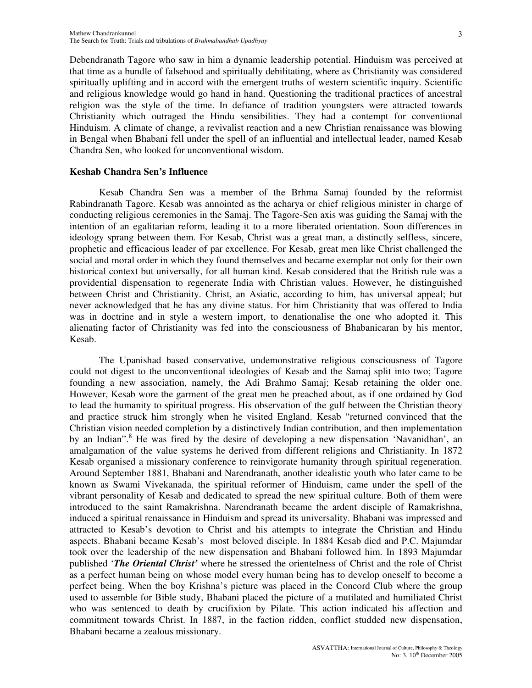Debendranath Tagore who saw in him a dynamic leadership potential. Hinduism was perceived at that time as a bundle of falsehood and spiritually debilitating, where as Christianity was considered spiritually uplifting and in accord with the emergent truths of western scientific inquiry. Scientific and religious knowledge would go hand in hand. Questioning the traditional practices of ancestral religion was the style of the time. In defiance of tradition youngsters were attracted towards Christianity which outraged the Hindu sensibilities. They had a contempt for conventional Hinduism. A climate of change, a revivalist reaction and a new Christian renaissance was blowing in Bengal when Bhabani fell under the spell of an influential and intellectual leader, named Kesab Chandra Sen, who looked for unconventional wisdom.

## **Keshab Chandra Sen's Influence**

Kesab Chandra Sen was a member of the Brhma Samaj founded by the reformist Rabindranath Tagore. Kesab was annointed as the acharya or chief religious minister in charge of conducting religious ceremonies in the Samaj. The Tagore-Sen axis was guiding the Samaj with the intention of an egalitarian reform, leading it to a more liberated orientation. Soon differences in ideology sprang between them. For Kesab, Christ was a great man, a distinctly selfless, sincere, prophetic and efficacious leader of par excellence. For Kesab, great men like Christ challenged the social and moral order in which they found themselves and became exemplar not only for their own historical context but universally, for all human kind. Kesab considered that the British rule was a providential dispensation to regenerate India with Christian values. However, he distinguished between Christ and Christianity. Christ, an Asiatic, according to him, has universal appeal; but never acknowledged that he has any divine status. For him Christianity that was offered to India was in doctrine and in style a western import, to denationalise the one who adopted it. This alienating factor of Christianity was fed into the consciousness of Bhabanicaran by his mentor, Kesab.

The Upanishad based conservative, undemonstrative religious consciousness of Tagore could not digest to the unconventional ideologies of Kesab and the Samaj split into two; Tagore founding a new association, namely, the Adi Brahmo Samaj; Kesab retaining the older one. However, Kesab wore the garment of the great men he preached about, as if one ordained by God to lead the humanity to spiritual progress. His observation of the gulf between the Christian theory and practice struck him strongly when he visited England. Kesab "returned convinced that the Christian vision needed completion by a distinctively Indian contribution, and then implementation by an Indian". <sup>8</sup> He was fired by the desire of developing a new dispensation 'Navanidhan', an amalgamation of the value systems he derived from different religions and Christianity. In 1872 Kesab organised a missionary conference to reinvigorate humanity through spiritual regeneration. Around September 1881, Bhabani and Narendranath, another idealistic youth who later came to be known as Swami Vivekanada, the spiritual reformer of Hinduism, came under the spell of the vibrant personality of Kesab and dedicated to spread the new spiritual culture. Both of them were introduced to the saint Ramakrishna. Narendranath became the ardent disciple of Ramakrishna, induced a spiritual renaissance in Hinduism and spread its universality. Bhabani was impressed and attracted to Kesab's devotion to Christ and his attempts to integrate the Christian and Hindu aspects. Bhabani became Kesab's most beloved disciple. In 1884 Kesab died and P.C. Majumdar took over the leadership of the new dispensation and Bhabani followed him. In 1893 Majumdar published '*The Oriental Christ'* where he stressed the orientelness of Christ and the role of Christ as a perfect human being on whose model every human being has to develop oneself to become a perfect being. When the boy Krishna's picture was placed in the Concord Club where the group used to assemble for Bible study, Bhabani placed the picture of a mutilated and humiliated Christ who was sentenced to death by crucifixion by Pilate. This action indicated his affection and commitment towards Christ. In 1887, in the faction ridden, conflict studded new dispensation, Bhabani became a zealous missionary.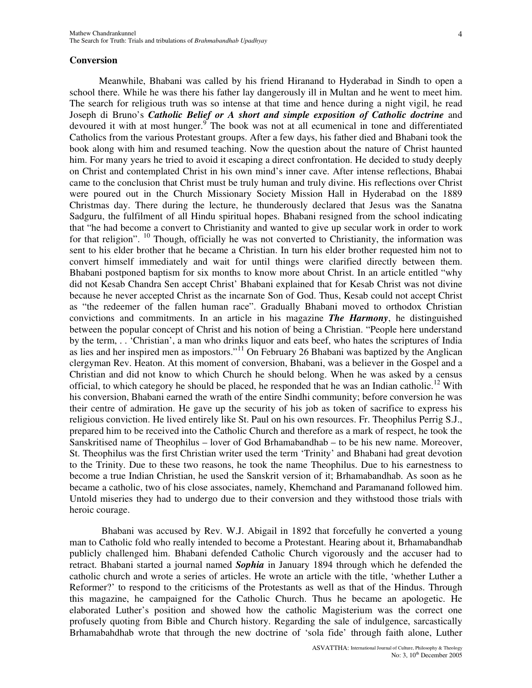Meanwhile, Bhabani was called by his friend Hiranand to Hyderabad in Sindh to open a school there. While he was there his father lay dangerously ill in Multan and he went to meet him. The search for religious truth was so intense at that time and hence during a night vigil, he read Joseph di Bruno's *Catholic Belief or A short and simple exposition of Catholic doctrine* and devoured it with at most hunger.<sup>9</sup> The book was not at all ecumenical in tone and differentiated Catholics from the various Protestant groups. After a few days, his father died and Bhabani took the book along with him and resumed teaching. Now the question about the nature of Christ haunted him. For many years he tried to avoid it escaping a direct confrontation. He decided to study deeply on Christ and contemplated Christ in his own mind's inner cave. After intense reflections, Bhabai came to the conclusion that Christ must be truly human and truly divine. His reflections over Christ were poured out in the Church Missionary Society Mission Hall in Hyderabad on the 1889 Christmas day. There during the lecture, he thunderously declared that Jesus was the Sanatna Sadguru, the fulfilment of all Hindu spiritual hopes. Bhabani resigned from the school indicating that "he had become a convert to Christianity and wanted to give up secular work in order to work for that religion". <sup>10</sup> Though, officially he was not converted to Christianity, the information was sent to his elder brother that he became a Christian. In turn his elder brother requested him not to convert himself immediately and wait for until things were clarified directly between them. Bhabani postponed baptism for six months to know more about Christ. In an article entitled "why did not Kesab Chandra Sen accept Christ' Bhabani explained that for Kesab Christ was not divine because he never accepted Christ as the incarnate Son of God. Thus, Kesab could not accept Christ as "the redeemer of the fallen human race". Gradually Bhabani moved to orthodox Christian convictions and commitments. In an article in his magazine *The Harmony*, he distinguished between the popular concept of Christ and his notion of being a Christian. "People here understand by the term, . . 'Christian', a man who drinks liquor and eats beef, who hates the scriptures of India as lies and her inspired men as impostors."<sup>11</sup> On February 26 Bhabani was baptized by the Anglican clergyman Rev. Heaton. At this moment of conversion, Bhabani, was a believer in the Gospel and a Christian and did not know to which Church he should belong. When he was asked by a census official, to which category he should be placed, he responded that he was an Indian catholic.<sup>12</sup> With his conversion, Bhabani earned the wrath of the entire Sindhi community; before conversion he was their centre of admiration. He gave up the security of his job as token of sacrifice to express his religious conviction. He lived entirely like St. Paul on his own resources. Fr. Theophilus Perrig S.J., prepared him to be received into the Catholic Church and therefore as a mark of respect, he took the Sanskritised name of Theophilus – lover of God Brhamabandhab – to be his new name. Moreover, St. Theophilus was the first Christian writer used the term 'Trinity' and Bhabani had great devotion to the Trinity. Due to these two reasons, he took the name Theophilus. Due to his earnestness to become a true Indian Christian, he used the Sanskrit version of it; Brhamabandhab. As soon as he became a catholic, two of his close associates, namely, Khemchand and Paramanand followed him. Untold miseries they had to undergo due to their conversion and they withstood those trials with heroic courage.

Bhabani was accused by Rev. W.J. Abigail in 1892 that forcefully he converted a young man to Catholic fold who really intended to become a Protestant. Hearing about it, Brhamabandhab publicly challenged him. Bhabani defended Catholic Church vigorously and the accuser had to retract. Bhabani started a journal named *Sophia* in January 1894 through which he defended the catholic church and wrote a series of articles. He wrote an article with the title, 'whether Luther a Reformer?' to respond to the criticisms of the Protestants as well as that of the Hindus. Through this magazine, he campaigned for the Catholic Church. Thus he became an apologetic. He elaborated Luther's position and showed how the catholic Magisterium was the correct one profusely quoting from Bible and Church history. Regarding the sale of indulgence, sarcastically Brhamabahdhab wrote that through the new doctrine of 'sola fide' through faith alone, Luther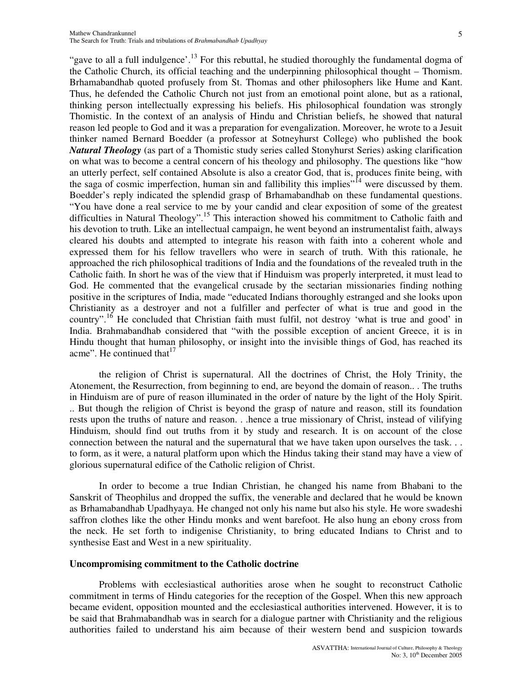"gave to all a full indulgence'.<sup>13</sup> For this rebuttal, he studied thoroughly the fundamental dogma of the Catholic Church, its official teaching and the underpinning philosophical thought – Thomism. Brhamabandhab quoted profusely from St. Thomas and other philosophers like Hume and Kant. Thus, he defended the Catholic Church not just from an emotional point alone, but as a rational, thinking person intellectually expressing his beliefs. His philosophical foundation was strongly Thomistic. In the context of an analysis of Hindu and Christian beliefs, he showed that natural reason led people to God and it was a preparation for evengalization. Moreover, he wrote to a Jesuit thinker named Bernard Boedder (a professor at Sotneyhurst College) who published the book *Natural Theology* (as part of a Thomistic study series called Stonyhurst Series) asking clarification on what was to become a central concern of his theology and philosophy. The questions like "how an utterly perfect, self contained Absolute is also a creator God, that is, produces finite being, with the saga of cosmic imperfection, human sin and fallibility this implies"<sup>14</sup> were discussed by them. Boedder's reply indicated the splendid grasp of Brhamabandhab on these fundamental questions. "You have done a real service to me by your candid and clear exposition of some of the greatest difficulties in Natural Theology".<sup>15</sup> This interaction showed his commitment to Catholic faith and his devotion to truth. Like an intellectual campaign, he went beyond an instrumentalist faith, always cleared his doubts and attempted to integrate his reason with faith into a coherent whole and expressed them for his fellow travellers who were in search of truth. With this rationale, he approached the rich philosophical traditions of India and the foundations of the revealed truth in the Catholic faith. In short he was of the view that if Hinduism was properly interpreted, it must lead to God. He commented that the evangelical crusade by the sectarian missionaries finding nothing positive in the scriptures of India, made "educated Indians thoroughly estranged and she looks upon Christianity as a destroyer and not a fulfiller and perfecter of what is true and good in the country".<sup>16</sup> He concluded that Christian faith must fulfil, not destroy 'what is true and good' in India. Brahmabandhab considered that "with the possible exception of ancient Greece, it is in Hindu thought that human philosophy, or insight into the invisible things of God, has reached its acme". He continued that  $17$ 

the religion of Christ is supernatural. All the doctrines of Christ, the Holy Trinity, the Atonement, the Resurrection, from beginning to end, are beyond the domain of reason.. . The truths in Hinduism are of pure of reason illuminated in the order of nature by the light of the Holy Spirit. .. But though the religion of Christ is beyond the grasp of nature and reason, still its foundation rests upon the truths of nature and reason. . .hence a true missionary of Christ, instead of vilifying Hinduism, should find out truths from it by study and research. It is on account of the close connection between the natural and the supernatural that we have taken upon ourselves the task. . . to form, as it were, a natural platform upon which the Hindus taking their stand may have a view of glorious supernatural edifice of the Catholic religion of Christ.

In order to become a true Indian Christian, he changed his name from Bhabani to the Sanskrit of Theophilus and dropped the suffix, the venerable and declared that he would be known as Brhamabandhab Upadhyaya. He changed not only his name but also his style. He wore swadeshi saffron clothes like the other Hindu monks and went barefoot. He also hung an ebony cross from the neck. He set forth to indigenise Christianity, to bring educated Indians to Christ and to synthesise East and West in a new spirituality.

#### **Uncompromising commitment to the Catholic doctrine**

Problems with ecclesiastical authorities arose when he sought to reconstruct Catholic commitment in terms of Hindu categories for the reception of the Gospel. When this new approach became evident, opposition mounted and the ecclesiastical authorities intervened. However, it is to be said that Brahmabandhab was in search for a dialogue partner with Christianity and the religious authorities failed to understand his aim because of their western bend and suspicion towards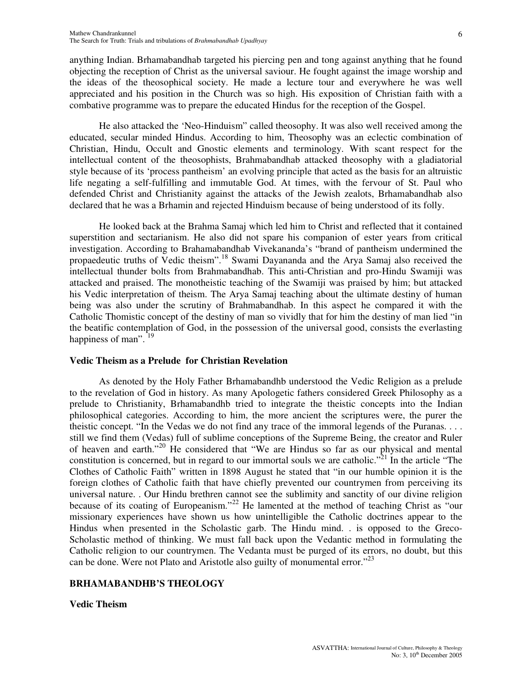anything Indian. Brhamabandhab targeted his piercing pen and tong against anything that he found objecting the reception of Christ as the universal saviour. He fought against the image worship and the ideas of the theosophical society. He made a lecture tour and everywhere he was well appreciated and his position in the Church was so high. His exposition of Christian faith with a combative programme was to prepare the educated Hindus for the reception of the Gospel.

He also attacked the 'Neo-Hinduism" called theosophy. It was also well received among the educated, secular minded Hindus. According to him, Theosophy was an eclectic combination of Christian, Hindu, Occult and Gnostic elements and terminology. With scant respect for the intellectual content of the theosophists, Brahmabandhab attacked theosophy with a gladiatorial style because of its 'process pantheism' an evolving principle that acted as the basis for an altruistic life negating a self-fulfilling and immutable God. At times, with the fervour of St. Paul who defended Christ and Christianity against the attacks of the Jewish zealots, Brhamabandhab also declared that he was a Brhamin and rejected Hinduism because of being understood of its folly.

He looked back at the Brahma Samaj which led him to Christ and reflected that it contained superstition and sectarianism. He also did not spare his companion of ester years from critical investigation. According to Brahamabandhab Vivekananda's "brand of pantheism undermined the propaedeutic truths of Vedic theism".<sup>18</sup> Swami Dayananda and the Arya Samaj also received the intellectual thunder bolts from Brahmabandhab. This anti-Christian and pro-Hindu Swamiji was attacked and praised. The monotheistic teaching of the Swamiji was praised by him; but attacked his Vedic interpretation of theism. The Arya Samaj teaching about the ultimate destiny of human being was also under the scrutiny of Brahmabandhab. In this aspect he compared it with the Catholic Thomistic concept of the destiny of man so vividly that for him the destiny of man lied "in the beatific contemplation of God, in the possession of the universal good, consists the everlasting happiness of man".<sup>19</sup>

# **Vedic Theism as a Prelude for Christian Revelation**

As denoted by the Holy Father Brhamabandhb understood the Vedic Religion as a prelude to the revelation of God in history. As many Apologetic fathers considered Greek Philosophy as a prelude to Christianity, Brhamabandhb tried to integrate the theistic concepts into the Indian philosophical categories. According to him, the more ancient the scriptures were, the purer the theistic concept. "In the Vedas we do not find any trace of the immoral legends of the Puranas. . . . still we find them (Vedas) full of sublime conceptions of the Supreme Being, the creator and Ruler of heaven and earth."<sup>20</sup> He considered that "We are Hindus so far as our physical and mental constitution is concerned, but in regard to our immortal souls we are catholic."<sup>21</sup> In the article "The Clothes of Catholic Faith" written in 1898 August he stated that "in our humble opinion it is the foreign clothes of Catholic faith that have chiefly prevented our countrymen from perceiving its universal nature. . Our Hindu brethren cannot see the sublimity and sanctity of our divine religion because of its coating of Europeanism."<sup>22</sup> He lamented at the method of teaching Christ as "our missionary experiences have shown us how unintelligible the Catholic doctrines appear to the Hindus when presented in the Scholastic garb. The Hindu mind. . is opposed to the Greco-Scholastic method of thinking. We must fall back upon the Vedantic method in formulating the Catholic religion to our countrymen. The Vedanta must be purged of its errors, no doubt, but this can be done. Were not Plato and Aristotle also guilty of monumental error."<sup>23</sup>

# **BRHAMABANDHB'S THEOLOGY**

## **Vedic Theism**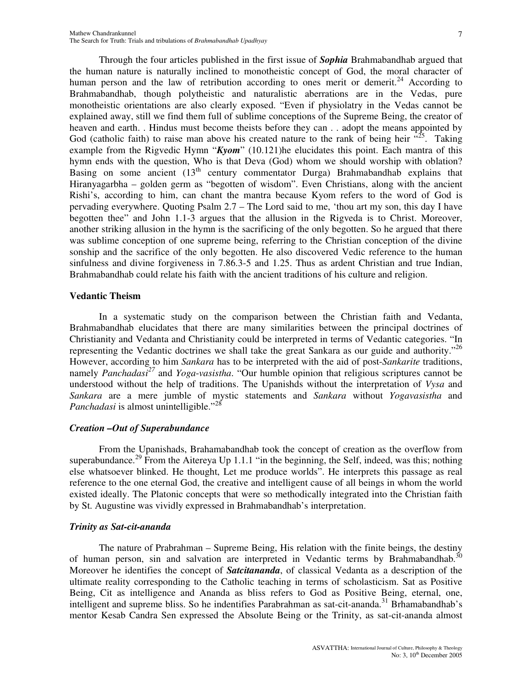Through the four articles published in the first issue of *Sophia* Brahmabandhab argued that the human nature is naturally inclined to monotheistic concept of God, the moral character of human person and the law of retribution according to ones merit or demerit.<sup>24</sup> According to Brahmabandhab, though polytheistic and naturalistic aberrations are in the Vedas, pure monotheistic orientations are also clearly exposed. "Even if physiolatry in the Vedas cannot be explained away, still we find them full of sublime conceptions of the Supreme Being, the creator of heaven and earth. . Hindus must become theists before they can . . adopt the means appointed by God (catholic faith) to raise man above his created nature to the rank of being heir  $\frac{.25}{.25}$ . Taking example from the Rigvedic Hymn "*Kyom*" (10.121)he elucidates this point. Each mantra of this hymn ends with the question, Who is that Deva (God) whom we should worship with oblation? Basing on some ancient (13<sup>th</sup> century commentator Durga) Brahmabandhab explains that Hiranyagarbha – golden germ as "begotten of wisdom". Even Christians, along with the ancient Rishi's, according to him, can chant the mantra because Kyom refers to the word of God is pervading everywhere. Quoting Psalm 2.7 – The Lord said to me, 'thou art my son, this day I have begotten thee" and John 1.1-3 argues that the allusion in the Rigveda is to Christ. Moreover, another striking allusion in the hymn is the sacrificing of the only begotten. So he argued that there was sublime conception of one supreme being, referring to the Christian conception of the divine sonship and the sacrifice of the only begotten. He also discovered Vedic reference to the human sinfulness and divine forgiveness in 7.86.3-5 and 1.25. Thus as ardent Christian and true Indian, Brahmabandhab could relate his faith with the ancient traditions of his culture and religion.

## **Vedantic Theism**

In a systematic study on the comparison between the Christian faith and Vedanta, Brahmabandhab elucidates that there are many similarities between the principal doctrines of Christianity and Vedanta and Christianity could be interpreted in terms of Vedantic categories. "In representing the Vedantic doctrines we shall take the great Sankara as our guide and authority."<sup>26</sup> However, according to him *Sankara* has to be interpreted with the aid of post-*Sankarite* traditions, namely *Panchadasi <sup>27</sup>* and *Yoga*-*vasistha*. "Our humble opinion that religious scriptures cannot be understood without the help of traditions. The Upanishds without the interpretation of *Vysa* and *Sankara* are a mere jumble of mystic statements and *Sankara* without *Yogavasistha* and Panchadasi is almost unintelligible."<sup>28</sup>

# *Creation –Out of Superabundance*

From the Upanishads, Brahamabandhab took the concept of creation as the overflow from superabundance.<sup>29</sup> From the Aitereya Up 1.1.1 "in the beginning, the Self, indeed, was this; nothing else whatsoever blinked. He thought, Let me produce worlds". He interprets this passage as real reference to the one eternal God, the creative and intelligent cause of all beings in whom the world existed ideally. The Platonic concepts that were so methodically integrated into the Christian faith by St. Augustine was vividly expressed in Brahmabandhab's interpretation.

# *Trinity as Sat-cit-ananda*

The nature of Prabrahman – Supreme Being, His relation with the finite beings, the destiny of human person, sin and salvation are interpreted in Vedantic terms by Brahmabandhab.<sup>30</sup> Moreover he identifies the concept of *Satcitananda*, of classical Vedanta as a description of the ultimate reality corresponding to the Catholic teaching in terms of scholasticism. Sat as Positive Being, Cit as intelligence and Ananda as bliss refers to God as Positive Being, eternal, one, intelligent and supreme bliss. So he indentifies Parabrahman as sat-cit-ananda.<sup>31</sup> Brhamabandhab's mentor Kesab Candra Sen expressed the Absolute Being or the Trinity, as sat-cit-ananda almost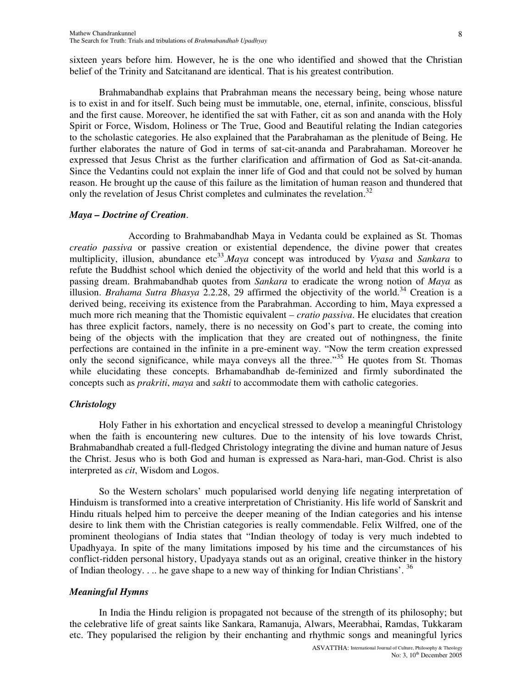sixteen years before him. However, he is the one who identified and showed that the Christian belief of the Trinity and Satcitanand are identical. That is his greatest contribution.

Brahmabandhab explains that Prabrahman means the necessary being, being whose nature is to exist in and for itself. Such being must be immutable, one, eternal, infinite, conscious, blissful and the first cause. Moreover, he identified the sat with Father, cit as son and ananda with the Holy Spirit or Force, Wisdom, Holiness or The True, Good and Beautiful relating the Indian categories to the scholastic categories. He also explained that the Parabrahaman as the plenitude of Being. He further elaborates the nature of God in terms of sat-cit-ananda and Parabrahaman. Moreover he expressed that Jesus Christ as the further clarification and affirmation of God as Sat-cit-ananda. Since the Vedantins could not explain the inner life of God and that could not be solved by human reason. He brought up the cause of this failure as the limitation of human reason and thundered that only the revelation of Jesus Christ completes and culminates the revelation.<sup>32</sup>

## *Maya – Doctrine of Creation*.

According to Brahmabandhab Maya in Vedanta could be explained as St. Thomas *creatio passiva* or passive creation or existential dependence, the divine power that creates multiplicity, illusion, abundance etc 33 .*Maya* concept was introduced by *Vyasa* and *Sankara* to refute the Buddhist school which denied the objectivity of the world and held that this world is a passing dream. Brahmabandhab quotes from *Sankara* to eradicate the wrong notion of *Maya* as illusion. *Brahama Sutra Bhasya* 2.2.28, 29 affirmed the objectivity of the world. <sup>34</sup> Creation is a derived being, receiving its existence from the Parabrahman. According to him, Maya expressed a much more rich meaning that the Thomistic equivalent – *cratio passiva*. He elucidates that creation has three explicit factors, namely, there is no necessity on God's part to create, the coming into being of the objects with the implication that they are created out of nothingness, the finite perfections are contained in the infinite in a pre-eminent way. "Now the term creation expressed only the second significance, while maya conveys all the three."<sup>35</sup> He quotes from St. Thomas while elucidating these concepts. Brhamabandhab de-feminized and firmly subordinated the concepts such as *prakriti*, *maya* and *sakti* to accommodate them with catholic categories.

## *Christology*

Holy Father in his exhortation and encyclical stressed to develop a meaningful Christology when the faith is encountering new cultures. Due to the intensity of his love towards Christ, Brahmabandhab created a full-fledged Christology integrating the divine and human nature of Jesus the Christ. Jesus who is both God and human is expressed as Nara-hari, man-God. Christ is also interpreted as *cit*, Wisdom and Logos.

So the Western scholars' much popularised world denying life negating interpretation of Hinduism is transformed into a creative interpretation of Christianity. His life world of Sanskrit and Hindu rituals helped him to perceive the deeper meaning of the Indian categories and his intense desire to link them with the Christian categories is really commendable. Felix Wilfred, one of the prominent theologians of India states that "Indian theology of today is very much indebted to Upadhyaya. In spite of the many limitations imposed by his time and the circumstances of his conflict-ridden personal history, Upadyaya stands out as an original, creative thinker in the history of Indian theology. . .. he gave shape to a new way of thinking for Indian Christians'. <sup>36</sup>

## *Meaningful Hymns*

In India the Hindu religion is propagated not because of the strength of its philosophy; but the celebrative life of great saints like Sankara, Ramanuja, Alwars, Meerabhai, Ramdas, Tukkaram etc. They popularised the religion by their enchanting and rhythmic songs and meaningful lyrics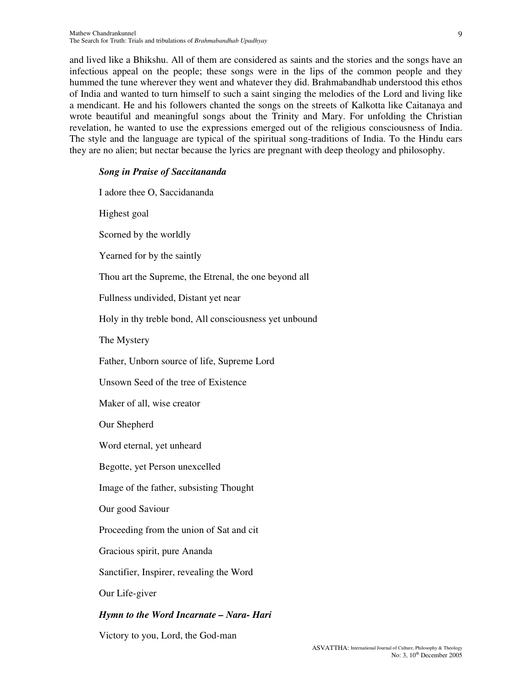and lived like a Bhikshu. All of them are considered as saints and the stories and the songs have an infectious appeal on the people; these songs were in the lips of the common people and they hummed the tune wherever they went and whatever they did. Brahmabandhab understood this ethos of India and wanted to turn himself to such a saint singing the melodies of the Lord and living like a mendicant. He and his followers chanted the songs on the streets of Kalkotta like Caitanaya and wrote beautiful and meaningful songs about the Trinity and Mary. For unfolding the Christian revelation, he wanted to use the expressions emerged out of the religious consciousness of India. The style and the language are typical of the spiritual song-traditions of India. To the Hindu ears they are no alien; but nectar because the lyrics are pregnant with deep theology and philosophy.

## *Song in Praise of Saccitananda*

I adore thee O, Saccidananda Highest goal Scorned by the worldly Yearned for by the saintly Thou art the Supreme, the Etrenal, the one beyond all Fullness undivided, Distant yet near Holy in thy treble bond, All consciousness yet unbound The Mystery Father, Unborn source of life, Supreme Lord Unsown Seed of the tree of Existence Maker of all, wise creator Our Shepherd Word eternal, yet unheard Begotte, yet Person unexcelled Image of the father, subsisting Thought Our good Saviour Proceeding from the union of Sat and cit Gracious spirit, pure Ananda Sanctifier, Inspirer, revealing the Word Our Life-giver *Hymn to the Word Incarnate – Nara- Hari*

Victory to you, Lord, the God-man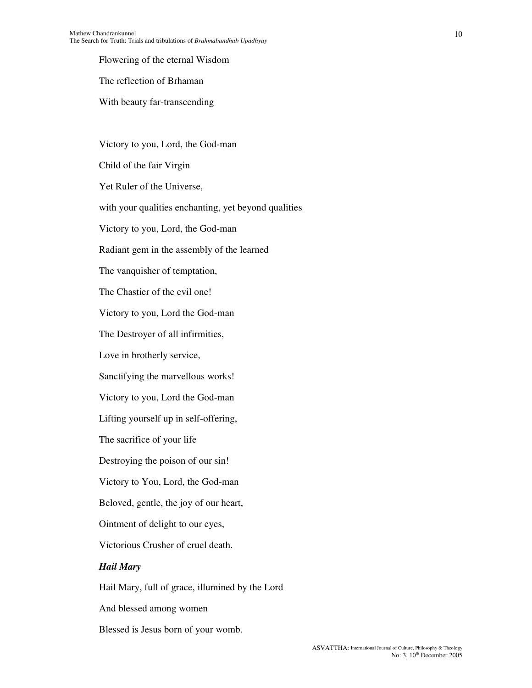Flowering of the eternal Wisdom

The reflection of Brhaman

With beauty far-transcending

Victory to you, Lord, the God-man Child of the fair Virgin Yet Ruler of the Universe, with your qualities enchanting, yet beyond qualities Victory to you, Lord, the God-man Radiant gem in the assembly of the learned The vanquisher of temptation, The Chastier of the evil one! Victory to you, Lord the God-man The Destroyer of all infirmities, Love in brotherly service, Sanctifying the marvellous works! Victory to you, Lord the God-man Lifting yourself up in self-offering, The sacrifice of your life Destroying the poison of our sin! Victory to You, Lord, the God-man Beloved, gentle, the joy of our heart, Ointment of delight to our eyes, Victorious Crusher of cruel death. *Hail Mary* Hail Mary, full of grace, illumined by the Lord And blessed among women

Blessed is Jesus born of your womb.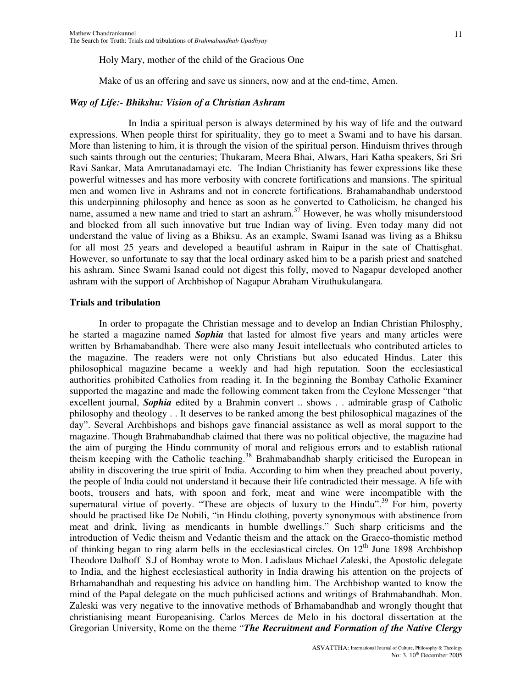Make of us an offering and save us sinners, now and at the end-time, Amen.

## *Way of Life:- Bhikshu: Vision of a Christian Ashram*

In India a spiritual person is always determined by his way of life and the outward expressions. When people thirst for spirituality, they go to meet a Swami and to have his darsan. More than listening to him, it is through the vision of the spiritual person. Hinduism thrives through such saints through out the centuries; Thukaram, Meera Bhai, Alwars, Hari Katha speakers, Sri Sri Ravi Sankar, Mata Amrutanadamayi etc. The Indian Christianity has fewer expressions like these powerful witnesses and has more verbosity with concrete fortifications and mansions. The spiritual men and women live in Ashrams and not in concrete fortifications. Brahamabandhab understood this underpinning philosophy and hence as soon as he converted to Catholicism, he changed his name, assumed a new name and tried to start an ashram. <sup>37</sup> However, he was wholly misunderstood and blocked from all such innovative but true Indian way of living. Even today many did not understand the value of living as a Bhiksu. As an example, Swami Isanad was living as a Bhiksu for all most 25 years and developed a beautiful ashram in Raipur in the sate of Chattisghat. However, so unfortunate to say that the local ordinary asked him to be a parish priest and snatched his ashram. Since Swami Isanad could not digest this folly, moved to Nagapur developed another ashram with the support of Archbishop of Nagapur Abraham Viruthukulangara.

## **Trials and tribulation**

In order to propagate the Christian message and to develop an Indian Christian Philosphy, he started a magazine named *Sophia* that lasted for almost five years and many articles were written by Brhamabandhab. There were also many Jesuit intellectuals who contributed articles to the magazine. The readers were not only Christians but also educated Hindus. Later this philosophical magazine became a weekly and had high reputation. Soon the ecclesiastical authorities prohibited Catholics from reading it. In the beginning the Bombay Catholic Examiner supported the magazine and made the following comment taken from the Ceylone Messenger "that excellent journal, *Sophia* edited by a Brahmin convert .. shows . . admirable grasp of Catholic philosophy and theology . . It deserves to be ranked among the best philosophical magazines of the day". Several Archbishops and bishops gave financial assistance as well as moral support to the magazine. Though Brahmabandhab claimed that there was no political objective, the magazine had the aim of purging the Hindu community of moral and religious errors and to establish rational theism keeping with the Catholic teaching.<sup>38</sup> Brahmabandhab sharply criticised the European in ability in discovering the true spirit of India. According to him when they preached about poverty, the people of India could not understand it because their life contradicted their message. A life with boots, trousers and hats, with spoon and fork, meat and wine were incompatible with the supernatural virtue of poverty. "These are objects of luxury to the Hindu".<sup>39</sup> For him, poverty should be practised like De Nobili, "in Hindu clothing, poverty synonymous with abstinence from meat and drink, living as mendicants in humble dwellings." Such sharp criticisms and the introduction of Vedic theism and Vedantic theism and the attack on the Graeco-thomistic method of thinking began to ring alarm bells in the ecclesiastical circles. On  $12<sup>th</sup>$  June 1898 Archbishop Theodore Dalhoff S.J of Bombay wrote to Mon. Ladislaus Michael Zaleski, the Apostolic delegate to India, and the highest ecclesiastical authority in India drawing his attention on the projects of Brhamabandhab and requesting his advice on handling him. The Archbishop wanted to know the mind of the Papal delegate on the much publicised actions and writings of Brahmabandhab. Mon. Zaleski was very negative to the innovative methods of Brhamabandhab and wrongly thought that christianising meant Europeanising. Carlos Merces de Melo in his doctoral dissertation at the Gregorian University, Rome on the theme "*The Recruitment and Formation of the Native Clergy*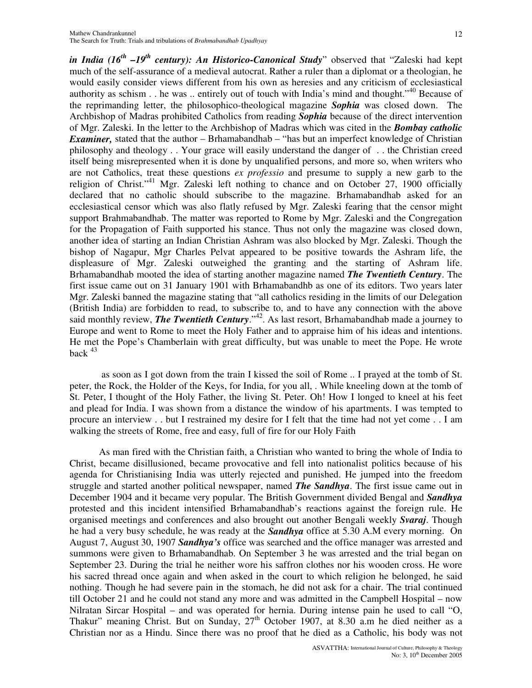*in India (16th –19th century): An Historico-Canonical Study*" observed that "Zaleski had kept much of the self-assurance of a medieval autocrat. Rather a ruler than a diplomat or a theologian, he would easily consider views different from his own as heresies and any criticism of ecclesiastical authority as schism . . he was .. entirely out of touch with India's mind and thought."<sup>40</sup> Because of the reprimanding letter, the philosophico-theological magazine *Sophia* was closed down. The Archbishop of Madras prohibited Catholics from reading *Sophia* because of the direct intervention of Mgr. Zaleski. In the letter to the Archbishop of Madras which was cited in the *Bombay catholic Examiner*, stated that the author – Brhamabandhab – "has but an imperfect knowledge of Christian philosophy and theology . . Your grace will easily understand the danger of . . the Christian creed itself being misrepresented when it is done by unqualified persons, and more so, when writers who are not Catholics, treat these questions *ex professio* and presume to supply a new garb to the religion of Christ."<sup>41</sup> Mgr. Zaleski left nothing to chance and on October 27, 1900 officially declared that no catholic should subscribe to the magazine. Brhamabandhab asked for an ecclesiastical censor which was also flatly refused by Mgr. Zaleski fearing that the censor might support Brahmabandhab. The matter was reported to Rome by Mgr. Zaleski and the Congregation for the Propagation of Faith supported his stance. Thus not only the magazine was closed down, another idea of starting an Indian Christian Ashram was also blocked by Mgr. Zaleski. Though the bishop of Nagapur, Mgr Charles Pelvat appeared to be positive towards the Ashram life, the displeasure of Mgr. Zaleski outweighed the granting and the starting of Ashram life. Brhamabandhab mooted the idea of starting another magazine named *The Twentieth Century*. The first issue came out on 31 January 1901 with Brhamabandhb as one of its editors. Two years later Mgr. Zaleski banned the magazine stating that "all catholics residing in the limits of our Delegation (British India) are forbidden to read, to subscribe to, and to have any connection with the above said monthly review, *The Twentieth Century*."<sup>42</sup>. As last resort, Brhamabandhab made a journey to Europe and went to Rome to meet the Holy Father and to appraise him of his ideas and intentions. He met the Pope's Chamberlain with great difficulty, but was unable to meet the Pope. He wrote back  $43$ 

as soon as I got down from the train I kissed the soil of Rome .. I prayed at the tomb of St. peter, the Rock, the Holder of the Keys, for India, for you all, . While kneeling down at the tomb of St. Peter, I thought of the Holy Father, the living St. Peter. Oh! How I longed to kneel at his feet and plead for India. I was shown from a distance the window of his apartments. I was tempted to procure an interview . . but I restrained my desire for I felt that the time had not yet come . . I am walking the streets of Rome, free and easy, full of fire for our Holy Faith

As man fired with the Christian faith, a Christian who wanted to bring the whole of India to Christ, became disillusioned, became provocative and fell into nationalist politics because of his agenda for Christianising India was utterly rejected and punished. He jumped into the freedom struggle and started another political newspaper, named *The Sandhya*. The first issue came out in December 1904 and it became very popular. The British Government divided Bengal and *Sandhya* protested and this incident intensified Brhamabandhab's reactions against the foreign rule. He organised meetings and conferences and also brought out another Bengali weekly *Svaraj*. Though he had a very busy schedule, he was ready at the *Sandhya* office at 5.30 A.M every morning. On August 7, August 30, 1907 *Sandhya's* office was searched and the office manager was arrested and summons were given to Brhamabandhab. On September 3 he was arrested and the trial began on September 23. During the trial he neither wore his saffron clothes nor his wooden cross. He wore his sacred thread once again and when asked in the court to which religion he belonged, he said nothing. Though he had severe pain in the stomach, he did not ask for a chair. The trial continued till October 21 and he could not stand any more and was admitted in the Campbell Hospital – now Nilratan Sircar Hospital – and was operated for hernia. During intense pain he used to call "O, Thakur" meaning Christ. But on Sunday,  $27<sup>th</sup>$  October 1907, at 8.30 a.m he died neither as a Christian nor as a Hindu. Since there was no proof that he died as a Catholic, his body was not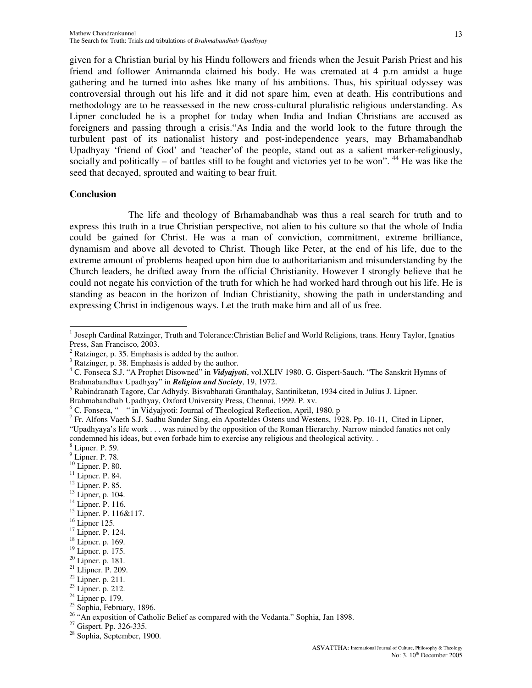given for a Christian burial by his Hindu followers and friends when the Jesuit Parish Priest and his friend and follower Animannda claimed his body. He was cremated at 4 p.m amidst a huge gathering and he turned into ashes like many of his ambitions. Thus, his spiritual odyssey was controversial through out his life and it did not spare him, even at death. His contributions and methodology are to be reassessed in the new cross-cultural pluralistic religious understanding. As Lipner concluded he is a prophet for today when India and Indian Christians are accused as foreigners and passing through a crisis."As India and the world look to the future through the turbulent past of its nationalist history and post-independence years, may Brhamabandhab Upadhyay 'friend of God' and 'teacher'of the people, stand out as a salient marker-religiously, socially and politically  $-$  of battles still to be fought and victories yet to be won".  $44$  He was like the seed that decayed, sprouted and waiting to bear fruit.

#### **Conclusion**

The life and theology of Brhamabandhab was thus a real search for truth and to express this truth in a true Christian perspective, not alien to his culture so that the whole of India could be gained for Christ. He was a man of conviction, commitment, extreme brilliance, dynamism and above all devoted to Christ. Though like Peter, at the end of his life, due to the extreme amount of problems heaped upon him due to authoritarianism and misunderstanding by the Church leaders, he drifted away from the official Christianity. However I strongly believe that he could not negate his conviction of the truth for which he had worked hard through out his life. He is standing as beacon in the horizon of Indian Christianity, showing the path in understanding and expressing Christ in indigenous ways. Let the truth make him and all of us free.

<sup>11</sup> Lipner. P. 84.

- 13 Lipner, p. 104.
- <sup>14</sup> Lipner. P. 116.
- <sup>15</sup> Lipner. P. 116&117.
- $16$  Lipner 125.

 1 Joseph Cardinal Ratzinger, Truth and Tolerance:Christian Belief and World Religions, trans. Henry Taylor, Ignatius Press, San Francisco, 2003.

 $^{2}$  Ratzinger, p. 35. Emphasis is added by the author.

<sup>3</sup> Ratzinger, p. 38. Emphasis is added by the author.

<sup>4</sup> C. Fonseca S.J. "A Prophet Disowned" in *Vidyajyoti*, vol.XLIV 1980. G. Gispert-Sauch. "The Sanskrit Hymns of Brahmabandhav Upadhyay" in *Religion and Society*, 19, 1972.

<sup>5</sup> Rabindranath Tagore, Car Adhydy. Bisvabharati Granthalay, Santiniketan, 1934 cited in Julius J. Lipner.

Brahmabandhab Upadhyay, Oxford University Press, Chennai, 1999. P. xv.

<sup>&</sup>lt;sup>6</sup> C. Fonseca, " <sup>"</sup> in Vidyajyoti: Journal of Theological Reflection, April, 1980. p

<sup>&</sup>lt;sup>7</sup> Fr. Alfons Vaeth S.J. Sadhu Sunder Sing, ein Aposteldes Ostens und Westens, 1928. Pp. 10-11, Cited in Lipner, "Upadhyaya's life work . . . was ruined by the opposition of the Roman Hierarchy. Narrow minded fanatics not only condemned his ideas, but even forbade him to exercise any religious and theological activity. .

<sup>8</sup> Lipner. P. 59.

 $<sup>9</sup>$  Lipner. P. 78.</sup>

<sup>10</sup> Lipner. P. 80.

<sup>12</sup> Lipner. P. 85.

<sup>&</sup>lt;sup>17</sup> Lipner. P. 124.

<sup>18</sup> Lipner. p. 169.

<sup>19</sup> Lipner. p. 175.

<sup>20</sup> Lipner. p. 181.

 $21$  Llipner. P. 209.

 $22$  Lipner. p. 211.

<sup>23</sup> Lipner. p. 212.

<sup>&</sup>lt;sup>24</sup> Lipner p. 179.

<sup>&</sup>lt;sup>25</sup> Sophia, February, 1896.

<sup>&</sup>lt;sup>26</sup> "An exposition of Catholic Belief as compared with the Vedanta." Sophia, Jan 1898.

<sup>&</sup>lt;sup>27</sup> Gispert. Pp. 326-335.

<sup>28</sup> Sophia, September, 1900.